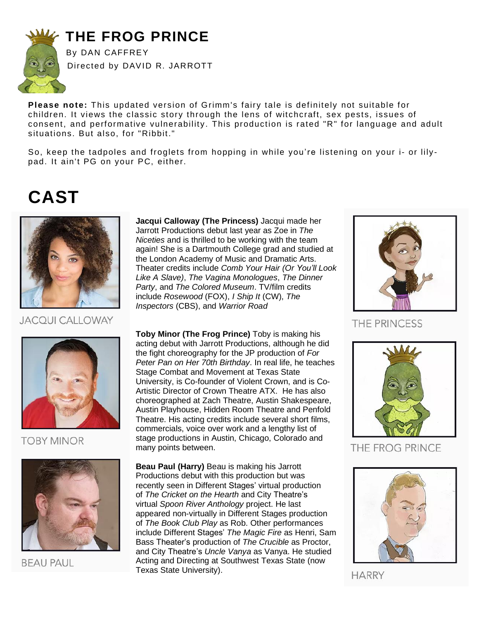

### **THE FROG PRINCE**

By DAN CAFFREY Directed by DAVID R. JARROTT

**Please note:** This updated version of Grimm's fairy tale is definitely not suitable for children. It views the classic story through the lens of witchcraft, sex pests, issues of consent, and performative vulnerability. This production is rated "R" for language and adult situations. But also, for "Ribbit."

So, keep the tadpoles and froglets from hopping in while you're listening on your i- or lilypad. It ain't PG on your PC, either.

### **CAST**



**JACQUI CALLOWAY** 



### **TOBY MINOR**



**BEAU PAUL** 

**Jacqui Calloway (The Princess)** Jacqui made her Jarrott Productions debut last year as Zoe in *The Niceties* and is thrilled to be working with the team again! She is a Dartmouth College grad and studied at the London Academy of Music and Dramatic Arts. Theater credits include *Comb Your Hair (Or You'll Look Like A Slave)*, *The Vagina Monologues*, *The Dinner Party*, and *The Colored Museum*. TV/film credits include *Rosewood* (FOX), *I Ship It* (CW), *The Inspectors* (CBS), and *Warrior Road*

**Toby Minor (The Frog Prince)** Toby is making his acting debut with Jarrott Productions, although he did the fight choreography for the JP production of *For Peter Pan on Her 70th Birthday*. In real life, he teaches Stage Combat and Movement at Texas State University, is Co-founder of Violent Crown, and is Co-Artistic Director of Crown Theatre ATX. He has also choreographed at Zach Theatre, Austin Shakespeare, Austin Playhouse, Hidden Room Theatre and Penfold Theatre. His acting credits include several short films, commercials, voice over work and a lengthy list of stage productions in Austin, Chicago, Colorado and many points between.

**Beau Paul (Harry)** Beau is making his Jarrott Productions debut with this production but was recently seen in Different Stages' virtual production of *The Cricket on the Hearth* and City Theatre's virtual *Spoon River Anthology* project. He last appeared non-virtually in Different Stages production of *The Book Club Play* as Rob. Other performances include Different Stages' *The Magic Fire* as Henri, Sam Bass Theater's production of *The Crucible* as Proctor, and City Theatre's *Uncle Vanya* as Vanya. He studied Acting and Directing at Southwest Texas State (now Texas State University).



THE PRINCESS



THE FROG PRINCE



**HARRY**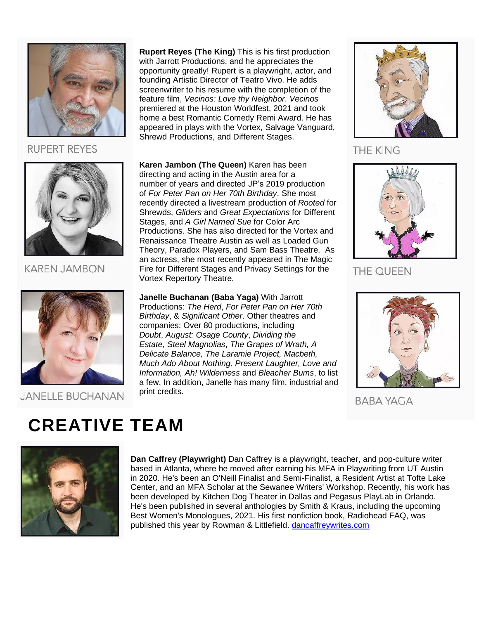

**RUPERT REYES** 



**KAREN JAMBON** 



#### **JANELLE BUCHANAN**

**Rupert Reyes (The King)** This is his first production with Jarrott Productions, and he appreciates the opportunity greatly! Rupert is a playwright, actor, and founding Artistic Director of Teatro Vivo. He adds screenwriter to his resume with the completion of the feature film, *Vecinos: Love thy Neighbor*. *Vecinos* premiered at the Houston Worldfest, 2021 and took home a best Romantic Comedy Remi Award. He has appeared in plays with the Vortex, Salvage Vanguard, Shrewd Productions, and Different Stages.

**Karen Jambon (The Queen)** Karen has been directing and acting in the Austin area for a number of years and directed JP's 2019 production of *For Peter Pan on Her 70th Birthday*. She most recently directed a livestream production of *Rooted* for Shrewds, *Gliders* and *Great Expectations* for Different Stages, and *A Girl Named Sue* for Color Arc Productions. She has also directed for the Vortex and Renaissance Theatre Austin as well as Loaded Gun Theory, Paradox Players, and Sam Bass Theatre. As an actress, she most recently appeared in The Magic Fire for Different Stages and Privacy Settings for the Vortex Repertory Theatre.

**Janelle Buchanan (Baba Yaga)** With Jarrott Productions: *The Herd*, *For Peter Pan on Her 70th Birthday*, & *Significant Other*. Other theatres and companies: Over 80 productions, including *Doubt*, *August: Osage County*, *Dividing the Estate*, *Steel Magnolias*, *The Grapes of Wrath, A Delicate Balance, The Laramie Project, Macbeth, Much Ado About Nothing, Present Laughter, Love and Information, Ah! Wilderness* and *Bleacher Bums*, to list a few. In addition, Janelle has many film, industrial and print credits.



**THE KING** 



THE QUEEN



**BABA YAGA** 

## **CREATIVE TEAM**



**Dan Caffrey (Playwright)** Dan Caffrey is a playwright, teacher, and pop-culture writer based in Atlanta, where he moved after earning his MFA in Playwriting from UT Austin in 2020. He's been an O'Neill Finalist and Semi-Finalist, a Resident Artist at Tofte Lake Center, and an MFA Scholar at the Sewanee Writers' Workshop. Recently, his work has been developed by Kitchen Dog Theater in Dallas and Pegasus PlayLab in Orlando. He's been published in several anthologies by Smith & Kraus, including the upcoming Best Women's Monologues, 2021. His first nonfiction book, Radiohead FAQ, was published this year by Rowman & Littlefield. [dancaffreywrites.com](https://dancaffreywrites.com/)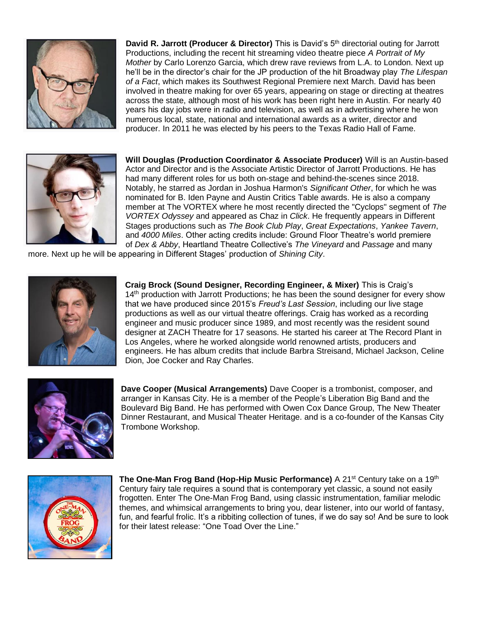

**David R. Jarrott (Producer & Director)** This is David's 5<sup>th</sup> directorial outing for Jarrott Productions, including the recent hit streaming video theatre piece *A Portrait of My Mother* by Carlo Lorenzo Garcia, which drew rave reviews from L.A. to London. Next up he'll be in the director's chair for the JP production of the hit Broadway play *The Lifespan of a Fact*, which makes its Southwest Regional Premiere next March. David has been involved in theatre making for over 65 years, appearing on stage or directing at theatres across the state, although most of his work has been right here in Austin. For nearly 40 years his day jobs were in radio and television, as well as in advertising where he won numerous local, state, national and international awards as a writer, director and producer. In 2011 he was elected by his peers to the Texas Radio Hall of Fame.



**Will Douglas (Production Coordinator & Associate Producer)** Will is an Austin-based Actor and Director and is the Associate Artistic Director of Jarrott Productions. He has had many different roles for us both on-stage and behind-the-scenes since 2018. Notably, he starred as Jordan in Joshua Harmon's *Significant Other*, for which he was nominated for B. Iden Payne and Austin Critics Table awards. He is also a company member at The VORTEX where he most recently directed the "Cyclops" segment of *The VORTEX Odyssey* and appeared as Chaz in *Click*. He frequently appears in Different Stages productions such as *The Book Club Play*, *Great Expectations*, *Yankee Tavern*, and *4000 Miles*. Other acting credits include: Ground Floor Theatre's world premiere of *Dex & Abby*, Heartland Theatre Collective's *The Vineyard* and *Passage* and many

more. Next up he will be appearing in Different Stages' production of *Shining City*.



**Craig Brock (Sound Designer, Recording Engineer, & Mixer)** This is Craig's 14<sup>th</sup> production with Jarrott Productions; he has been the sound designer for every show that we have produced since 2015's *Freud's Last Session*, including our live stage productions as well as our virtual theatre offerings. Craig has worked as a recording engineer and music producer since 1989, and most recently was the resident sound designer at ZACH Theatre for 17 seasons. He started his career at The Record Plant in Los Angeles, where he worked alongside world renowned artists, producers and engineers. He has album credits that include Barbra Streisand, Michael Jackson, Celine Dion, Joe Cocker and Ray Charles.



**Dave Cooper (Musical Arrangements)** Dave Cooper is a trombonist, composer, and arranger in Kansas City. He is a member of the People's Liberation Big Band and the Boulevard Big Band. He has performed with Owen Cox Dance Group, The New Theater Dinner Restaurant, and Musical Theater Heritage. and is a co-founder of the Kansas City Trombone Workshop.



**The One-Man Frog Band (Hop-Hip Music Performance)** A 21<sup>st</sup> Century take on a 19<sup>th</sup> Century fairy tale requires a sound that is contemporary yet classic, a sound not easily frogotten. Enter The One-Man Frog Band, using classic instrumentation, familiar melodic themes, and whimsical arrangements to bring you, dear listener, into our world of fantasy, fun, and fearful frolic. It's a ribbiting collection of tunes, if we do say so! And be sure to look for their latest release: "One Toad Over the Line."